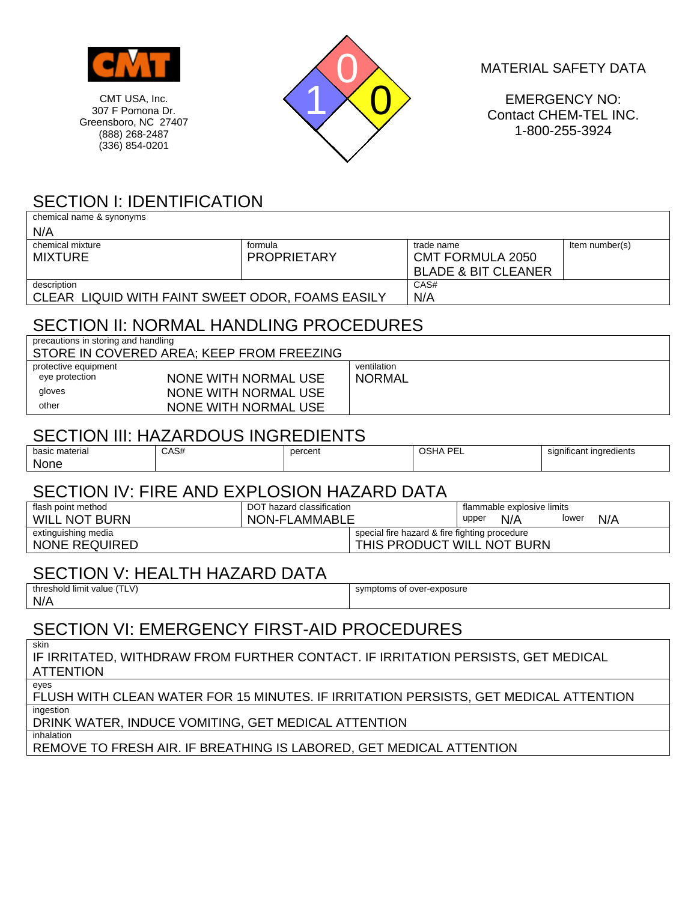

307 F Pomona Dr. Greensboro, NC 27407 (888) 268-2487 (336) 854-0201



MATERIAL SAFETY DATA

EMERGENCY NO: Contact CHEM-TEL INC. 1-800-255-3924

## SECTION I: IDENTIFICATION

| chemical name & synonyms                                                                     |      |                             |                                               |                         |                                |                         |  |  |  |
|----------------------------------------------------------------------------------------------|------|-----------------------------|-----------------------------------------------|-------------------------|--------------------------------|-------------------------|--|--|--|
| N/A                                                                                          |      |                             |                                               |                         |                                |                         |  |  |  |
| chemical mixture                                                                             |      | formula                     |                                               | trade name              |                                | Item number(s)          |  |  |  |
| <b>MIXTURE</b>                                                                               |      | <b>PROPRIETARY</b>          |                                               | <b>CMT FORMULA 2050</b> |                                |                         |  |  |  |
|                                                                                              |      |                             |                                               |                         | <b>BLADE &amp; BIT CLEANER</b> |                         |  |  |  |
| description                                                                                  |      |                             |                                               | CAS#                    |                                |                         |  |  |  |
| CLEAR LIQUID WITH FAINT SWEET ODOR, FOAMS EASILY                                             | N/A  |                             |                                               |                         |                                |                         |  |  |  |
| SECTION II: NORMAL HANDLING PROCEDURES                                                       |      |                             |                                               |                         |                                |                         |  |  |  |
| precautions in storing and handling<br>STORE IN COVERED AREA; KEEP FROM FREEZING             |      |                             |                                               |                         |                                |                         |  |  |  |
| protective equipment                                                                         |      |                             | ventilation                                   |                         |                                |                         |  |  |  |
| eye protection                                                                               |      | <b>NONE WITH NORMAL USE</b> |                                               | <b>NORMAL</b>           |                                |                         |  |  |  |
| gloves                                                                                       |      | <b>NONE WITH NORMAL USE</b> |                                               |                         |                                |                         |  |  |  |
| other                                                                                        |      | <b>NONE WITH NORMAL USE</b> |                                               |                         |                                |                         |  |  |  |
| SECTION III: HAZARDOUS INGREDIENTS                                                           |      |                             |                                               |                         |                                |                         |  |  |  |
| basic material<br>None                                                                       | CAS# | percent                     |                                               | <b>OSHA PEL</b>         |                                | significant ingredients |  |  |  |
|                                                                                              |      |                             |                                               |                         |                                |                         |  |  |  |
| SECTION IV: FIRE AND EXPLOSION HAZARD DATA                                                   |      |                             |                                               |                         |                                |                         |  |  |  |
| flash point method                                                                           |      | DOT hazard classification   |                                               |                         | flammable explosive limits     |                         |  |  |  |
| <b>WILL NOT BURN</b>                                                                         |      | NON-FLAMMABLE               |                                               |                         | upper<br>N/A                   | lower<br>N/A            |  |  |  |
| extinguishing media                                                                          |      |                             | special fire hazard & fire fighting procedure |                         |                                |                         |  |  |  |
| THIS PRODUCT WILL NOT BURN<br><b>NONE REQUIRED</b>                                           |      |                             |                                               |                         |                                |                         |  |  |  |
| <b>SECTION V: HEALTH HAZARD DATA</b>                                                         |      |                             |                                               |                         |                                |                         |  |  |  |
| threshold limit value (TLV)                                                                  |      |                             | symptoms of over-exposure                     |                         |                                |                         |  |  |  |
| N/A                                                                                          |      |                             |                                               |                         |                                |                         |  |  |  |
| <b>SECTION VI: EMERGENCY FIRST-AID PROCEDURES</b>                                            |      |                             |                                               |                         |                                |                         |  |  |  |
| skin<br>IF IRRITATED, WITHDRAW FROM FURTHER CONTACT. IF IRRITATION PERSISTS, GET MEDICAL     |      |                             |                                               |                         |                                |                         |  |  |  |
| <b>ATTENTION</b>                                                                             |      |                             |                                               |                         |                                |                         |  |  |  |
| eyes<br>FLUSH WITH CLEAN WATER FOR 15 MINUTES. IF IRRITATION PERSISTS, GET MEDICAL ATTENTION |      |                             |                                               |                         |                                |                         |  |  |  |
| ingestion<br>DRINK WATER, INDUCE VOMITING, GET MEDICAL ATTENTION                             |      |                             |                                               |                         |                                |                         |  |  |  |
| inhalation<br>REMOVE TO FRESH AIR. IF BREATHING IS LABORED, GET MEDICAL ATTENTION            |      |                             |                                               |                         |                                |                         |  |  |  |
|                                                                                              |      |                             |                                               |                         |                                |                         |  |  |  |